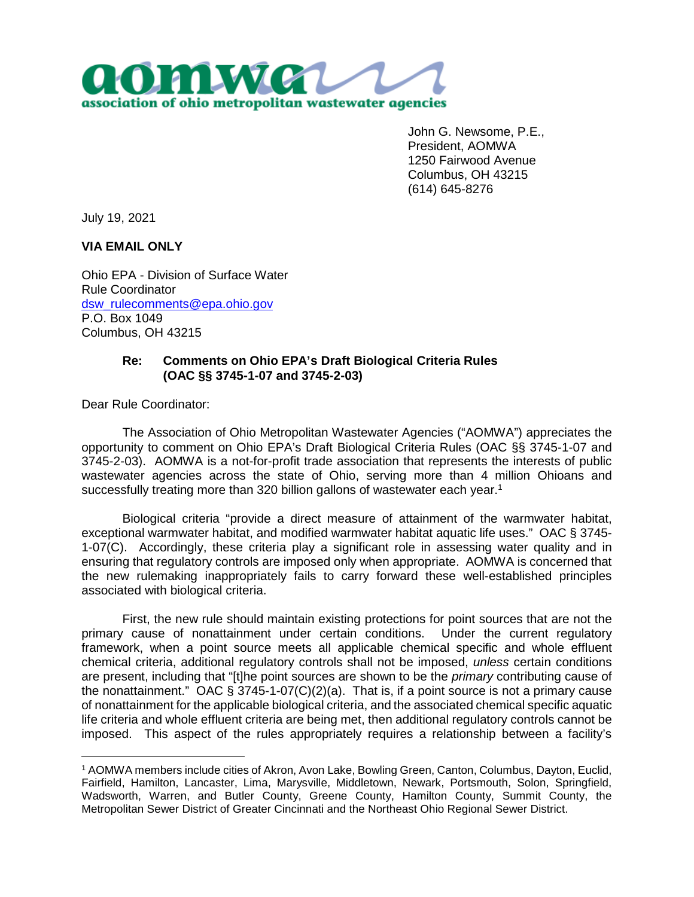

John G. Newsome, P.E., President, AOMWA 1250 Fairwood Avenue Columbus, OH 43215 (614) 645-8276

July 19, 2021

**VIA EMAIL ONLY**

Ohio EPA - Division of Surface Water Rule Coordinator dsw\_rulecomments@epa.ohio.gov P.O. Box 1049 Columbus, OH 43215

## **Re: Comments on Ohio EPA's Draft Biological Criteria Rules (OAC §§ 3745-1-07 and 3745-2-03)**

Dear Rule Coordinator:

The Association of Ohio Metropolitan Wastewater Agencies ("AOMWA") appreciates the opportunity to comment on Ohio EPA's Draft Biological Criteria Rules (OAC §§ 3745-1-07 and 3745-2-03). AOMWA is a not-for-profit trade association that represents the interests of public wastewater agencies across the state of Ohio, serving more than 4 million Ohioans and successfully treating more than 320 billion gallons of wastewater each year.<sup>1</sup>

Biological criteria "provide a direct measure of attainment of the warmwater habitat, exceptional warmwater habitat, and modified warmwater habitat aquatic life uses." OAC § 3745- 1-07(C). Accordingly, these criteria play a significant role in assessing water quality and in ensuring that regulatory controls are imposed only when appropriate. AOMWA is concerned that the new rulemaking inappropriately fails to carry forward these well-established principles associated with biological criteria.

First, the new rule should maintain existing protections for point sources that are not the primary cause of nonattainment under certain conditions. Under the current regulatory framework, when a point source meets all applicable chemical specific and whole effluent chemical criteria, additional regulatory controls shall not be imposed, *unless* certain conditions are present, including that "[t]he point sources are shown to be the *primary* contributing cause of the nonattainment." OAC  $\S 3745-1-07(C)(2)(a)$ . That is, if a point source is not a primary cause of nonattainment for the applicable biological criteria, and the associated chemical specific aquatic life criteria and whole effluent criteria are being met, then additional regulatory controls cannot be imposed. This aspect of the rules appropriately requires a relationship between a facility's

<sup>1</sup> AOMWA members include cities of Akron, Avon Lake, Bowling Green, Canton, Columbus, Dayton, Euclid, Fairfield, Hamilton, Lancaster, Lima, Marysville, Middletown, Newark, Portsmouth, Solon, Springfield, Wadsworth, Warren, and Butler County, Greene County, Hamilton County, Summit County, the Metropolitan Sewer District of Greater Cincinnati and the Northeast Ohio Regional Sewer District.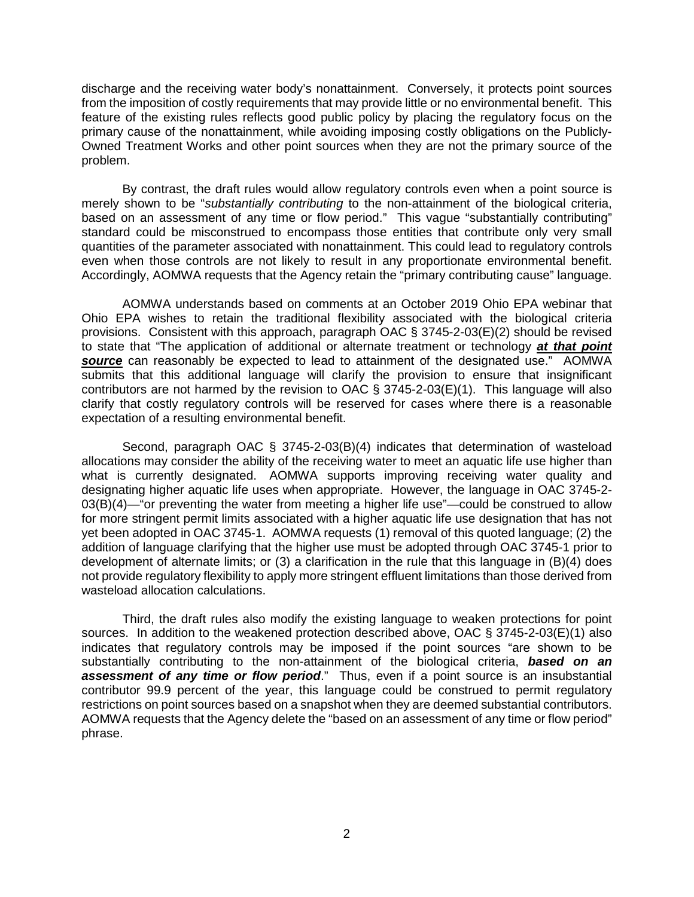discharge and the receiving water body's nonattainment. Conversely, it protects point sources from the imposition of costly requirements that may provide little or no environmental benefit. This feature of the existing rules reflects good public policy by placing the regulatory focus on the primary cause of the nonattainment, while avoiding imposing costly obligations on the Publicly-Owned Treatment Works and other point sources when they are not the primary source of the problem.

By contrast, the draft rules would allow regulatory controls even when a point source is merely shown to be "*substantially contributing* to the non-attainment of the biological criteria, based on an assessment of any time or flow period." This vague "substantially contributing" standard could be misconstrued to encompass those entities that contribute only very small quantities of the parameter associated with nonattainment. This could lead to regulatory controls even when those controls are not likely to result in any proportionate environmental benefit. Accordingly, AOMWA requests that the Agency retain the "primary contributing cause" language.

AOMWA understands based on comments at an October 2019 Ohio EPA webinar that Ohio EPA wishes to retain the traditional flexibility associated with the biological criteria provisions. Consistent with this approach, paragraph OAC § 3745-2-03(E)(2) should be revised to state that "The application of additional or alternate treatment or technology *at that point source* can reasonably be expected to lead to attainment of the designated use." AOMWA submits that this additional language will clarify the provision to ensure that insignificant contributors are not harmed by the revision to OAC  $\S$  3745-2-03(E)(1). This language will also clarify that costly regulatory controls will be reserved for cases where there is a reasonable expectation of a resulting environmental benefit.

Second, paragraph OAC § 3745-2-03(B)(4) indicates that determination of wasteload allocations may consider the ability of the receiving water to meet an aquatic life use higher than what is currently designated. AOMWA supports improving receiving water quality and designating higher aquatic life uses when appropriate. However, the language in OAC 3745-2- 03(B)(4)—"or preventing the water from meeting a higher life use"—could be construed to allow for more stringent permit limits associated with a higher aquatic life use designation that has not yet been adopted in OAC 3745-1. AOMWA requests (1) removal of this quoted language; (2) the addition of language clarifying that the higher use must be adopted through OAC 3745-1 prior to development of alternate limits; or (3) a clarification in the rule that this language in (B)(4) does not provide regulatory flexibility to apply more stringent effluent limitations than those derived from wasteload allocation calculations.

Third, the draft rules also modify the existing language to weaken protections for point sources. In addition to the weakened protection described above, OAC § 3745-2-03(E)(1) also indicates that regulatory controls may be imposed if the point sources "are shown to be substantially contributing to the non-attainment of the biological criteria, *based on an assessment of any time or flow period*." Thus, even if a point source is an insubstantial contributor 99.9 percent of the year, this language could be construed to permit regulatory restrictions on point sources based on a snapshot when they are deemed substantial contributors. AOMWA requests that the Agency delete the "based on an assessment of any time or flow period" phrase.